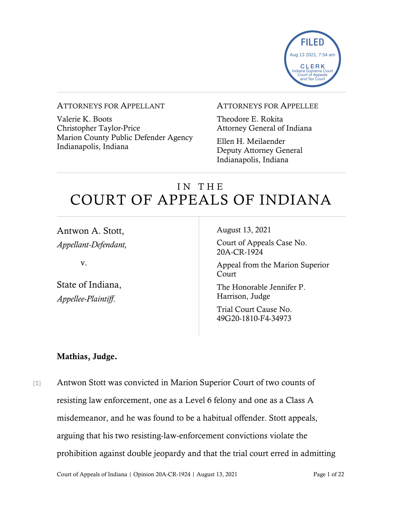

#### ATTORNEYS FOR APPELLANT

Valerie K. Boots Christopher Taylor-Price Marion County Public Defender Agency Indianapolis, Indiana

#### ATTORNEYS FOR APPELLEE

Theodore E. Rokita Attorney General of Indiana

Ellen H. Meilaender Deputy Attorney General Indianapolis, Indiana

# IN THE COURT OF APPEALS OF INDIANA

Antwon A. Stott, *Appellant-Defendant,*

v.

State of Indiana, *Appellee-Plaintiff*.

August 13, 2021

Court of Appeals Case No. 20A-CR-1924

Appeal from the Marion Superior Court

The Honorable Jennifer P. Harrison, Judge

Trial Court Cause No. 49G20-1810-F4-34973

#### Mathias, Judge.

[1] Antwon Stott was convicted in Marion Superior Court of two counts of resisting law enforcement, one as a Level 6 felony and one as a Class A misdemeanor, and he was found to be a habitual offender. Stott appeals, arguing that his two resisting-law-enforcement convictions violate the prohibition against double jeopardy and that the trial court erred in admitting

Court of Appeals of Indiana | Opinion 20A-CR-1924 | August 13, 2021 Page 1 of 22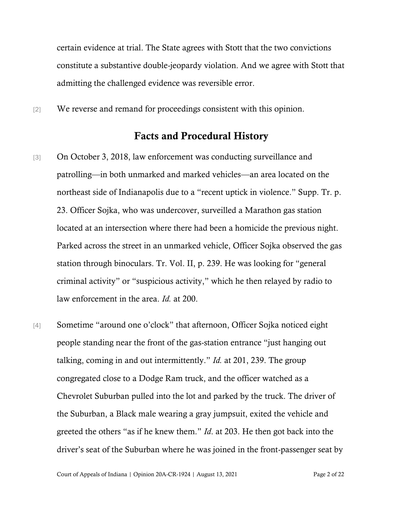certain evidence at trial. The State agrees with Stott that the two convictions constitute a substantive double-jeopardy violation. And we agree with Stott that admitting the challenged evidence was reversible error.

[2] We reverse and remand for proceedings consistent with this opinion.

### Facts and Procedural History

- [3] On October 3, 2018, law enforcement was conducting surveillance and patrolling—in both unmarked and marked vehicles—an area located on the northeast side of Indianapolis due to a "recent uptick in violence." Supp. Tr. p. 23. Officer Sojka, who was undercover, surveilled a Marathon gas station located at an intersection where there had been a homicide the previous night. Parked across the street in an unmarked vehicle, Officer Sojka observed the gas station through binoculars. Tr. Vol. II, p. 239. He was looking for "general criminal activity" or "suspicious activity," which he then relayed by radio to law enforcement in the area. *Id.* at 200.
- [4] Sometime "around one o'clock" that afternoon, Officer Sojka noticed eight people standing near the front of the gas-station entrance "just hanging out talking, coming in and out intermittently." *Id.* at 201, 239. The group congregated close to a Dodge Ram truck, and the officer watched as a Chevrolet Suburban pulled into the lot and parked by the truck. The driver of the Suburban, a Black male wearing a gray jumpsuit, exited the vehicle and greeted the others "as if he knew them." *Id*. at 203. He then got back into the driver's seat of the Suburban where he was joined in the front-passenger seat by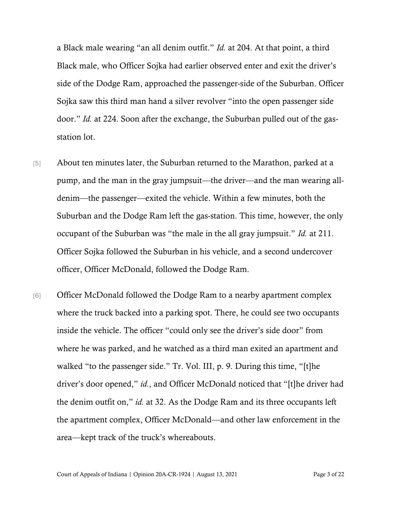a Black male wearing "an all denim outfit." *Id.* at 204. At that point, a third Black male, who Officer Sojka had earlier observed enter and exit the driver's side of the Dodge Ram, approached the passenger-side of the Suburban. Officer Sojka saw this third man hand a silver revolver "into the open passenger side door." *Id.* at 224. Soon after the exchange, the Suburban pulled out of the gasstation lot.

- [5] About ten minutes later, the Suburban returned to the Marathon, parked at a pump, and the man in the gray jumpsuit—the driver—and the man wearing alldenim—the passenger—exited the vehicle. Within a few minutes, both the Suburban and the Dodge Ram left the gas-station. This time, however, the only occupant of the Suburban was "the male in the all gray jumpsuit." *Id.* at 211. Officer Sojka followed the Suburban in his vehicle, and a second undercover officer, Officer McDonald, followed the Dodge Ram.
- [6] Officer McDonald followed the Dodge Ram to a nearby apartment complex where the truck backed into a parking spot. There, he could see two occupants inside the vehicle. The officer "could only see the driver's side door" from where he was parked, and he watched as a third man exited an apartment and walked "to the passenger side." Tr. Vol. III, p. 9. During this time, "[t]he driver's door opened," *id.*, and Officer McDonald noticed that "[t]he driver had the denim outfit on," *id.* at 32. As the Dodge Ram and its three occupants left the apartment complex, Officer McDonald—and other law enforcement in the area—kept track of the truck's whereabouts.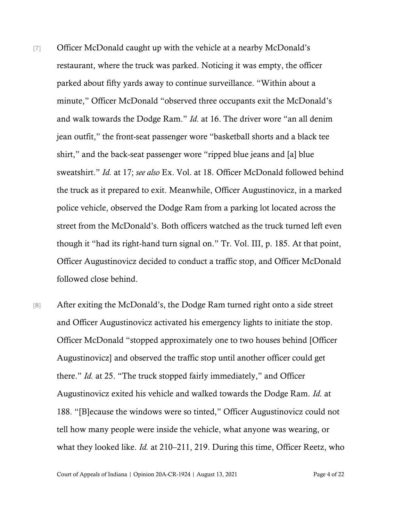- [7] Officer McDonald caught up with the vehicle at a nearby McDonald's restaurant, where the truck was parked. Noticing it was empty, the officer parked about fifty yards away to continue surveillance. "Within about a minute," Officer McDonald "observed three occupants exit the McDonald's and walk towards the Dodge Ram." *Id.* at 16. The driver wore "an all denim jean outfit," the front-seat passenger wore "basketball shorts and a black tee shirt," and the back-seat passenger wore "ripped blue jeans and [a] blue sweatshirt." *Id.* at 17; *see also* Ex. Vol. at 18. Officer McDonald followed behind the truck as it prepared to exit. Meanwhile, Officer Augustinovicz, in a marked police vehicle, observed the Dodge Ram from a parking lot located across the street from the McDonald's. Both officers watched as the truck turned left even though it "had its right-hand turn signal on." Tr. Vol. III, p. 185. At that point, Officer Augustinovicz decided to conduct a traffic stop, and Officer McDonald followed close behind.
- [8] After exiting the McDonald's, the Dodge Ram turned right onto a side street and Officer Augustinovicz activated his emergency lights to initiate the stop. Officer McDonald "stopped approximately one to two houses behind [Officer Augustinovicz] and observed the traffic stop until another officer could get there." *Id.* at 25. "The truck stopped fairly immediately," and Officer Augustinovicz exited his vehicle and walked towards the Dodge Ram. *Id.* at 188. "[B]ecause the windows were so tinted," Officer Augustinovicz could not tell how many people were inside the vehicle, what anyone was wearing, or what they looked like. *Id.* at 210–211, 219. During this time, Officer Reetz, who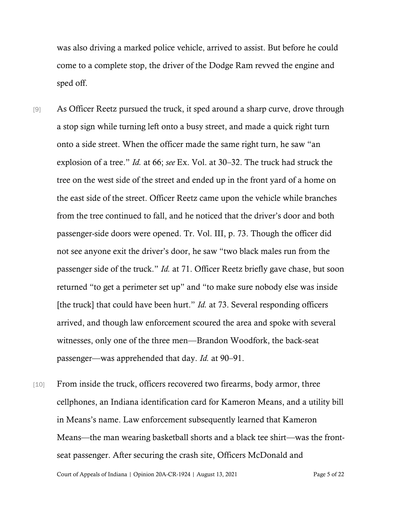was also driving a marked police vehicle, arrived to assist. But before he could come to a complete stop, the driver of the Dodge Ram revved the engine and sped off.

- [9] As Officer Reetz pursued the truck, it sped around a sharp curve, drove through a stop sign while turning left onto a busy street, and made a quick right turn onto a side street. When the officer made the same right turn, he saw "an explosion of a tree." *Id.* at 66; *see* Ex. Vol. at 30–32. The truck had struck the tree on the west side of the street and ended up in the front yard of a home on the east side of the street. Officer Reetz came upon the vehicle while branches from the tree continued to fall, and he noticed that the driver's door and both passenger-side doors were opened. Tr. Vol. III, p. 73. Though the officer did not see anyone exit the driver's door, he saw "two black males run from the passenger side of the truck." *Id.* at 71. Officer Reetz briefly gave chase, but soon returned "to get a perimeter set up" and "to make sure nobody else was inside [the truck] that could have been hurt." *Id.* at 73. Several responding officers arrived, and though law enforcement scoured the area and spoke with several witnesses, only one of the three men—Brandon Woodfork, the back-seat passenger—was apprehended that day. *Id.* at 90–91.
- [10] From inside the truck, officers recovered two firearms, body armor, three cellphones, an Indiana identification card for Kameron Means, and a utility bill in Means's name. Law enforcement subsequently learned that Kameron Means—the man wearing basketball shorts and a black tee shirt—was the frontseat passenger. After securing the crash site, Officers McDonald and

Court of Appeals of Indiana | Opinion 20A-CR-1924 | August 13, 2021 Page 5 of 22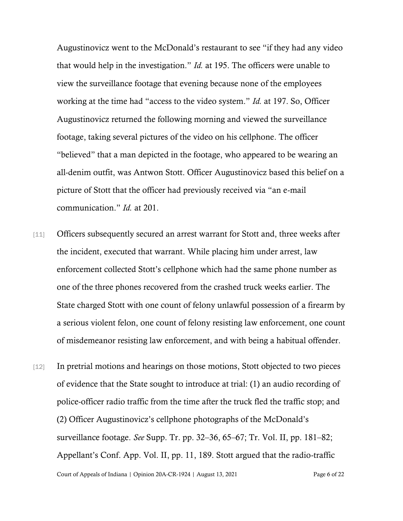Augustinovicz went to the McDonald's restaurant to see "if they had any video that would help in the investigation." *Id.* at 195. The officers were unable to view the surveillance footage that evening because none of the employees working at the time had "access to the video system." *Id.* at 197. So, Officer Augustinovicz returned the following morning and viewed the surveillance footage, taking several pictures of the video on his cellphone. The officer "believed" that a man depicted in the footage, who appeared to be wearing an all-denim outfit, was Antwon Stott. Officer Augustinovicz based this belief on a picture of Stott that the officer had previously received via "an e-mail communication." *Id.* at 201.

- [11] Officers subsequently secured an arrest warrant for Stott and, three weeks after the incident, executed that warrant. While placing him under arrest, law enforcement collected Stott's cellphone which had the same phone number as one of the three phones recovered from the crashed truck weeks earlier. The State charged Stott with one count of felony unlawful possession of a firearm by a serious violent felon, one count of felony resisting law enforcement, one count of misdemeanor resisting law enforcement, and with being a habitual offender.
- Court of Appeals of Indiana | Opinion 20A-CR-1924 | August 13, 2021 Page 6 of 22 [12] In pretrial motions and hearings on those motions, Stott objected to two pieces of evidence that the State sought to introduce at trial: (1) an audio recording of police-officer radio traffic from the time after the truck fled the traffic stop; and (2) Officer Augustinovicz's cellphone photographs of the McDonald's surveillance footage. *See* Supp. Tr. pp. 32–36, 65–67; Tr. Vol. II, pp. 181–82; Appellant's Conf. App. Vol. II, pp. 11, 189. Stott argued that the radio-traffic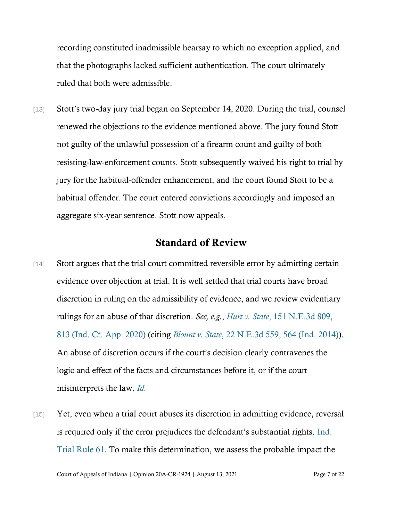recording constituted inadmissible hearsay to which no exception applied, and that the photographs lacked sufficient authentication. The court ultimately ruled that both were admissible.

[13] Stott's two-day jury trial began on September 14, 2020. During the trial, counsel renewed the objections to the evidence mentioned above. The jury found Stott not guilty of the unlawful possession of a firearm count and guilty of both resisting-law-enforcement counts. Stott subsequently waived his right to trial by jury for the habitual-offender enhancement, and the court found Stott to be a habitual offender. The court entered convictions accordingly and imposed an aggregate six-year sentence. Stott now appeals.

### Standard of Review

- [14] Stott argues that the trial court committed reversible error by admitting certain evidence over objection at trial. It is well settled that trial courts have broad discretion in ruling on the admissibility of evidence, and we review evidentiary rulings for an abuse of that discretion. *See, e.g.*, *Hurt v. State*[, 151 N.E.3d 809,](https://www.westlaw.com/Document/I3ee13460e3df11eaa378d6f7344849a6/View/FullText.html?transitionType=Default&contextData=(sc.Default)&VR=3.0&RS=da3.0&fragmentIdentifier=co_pp_sp_7902_813)  [813 \(Ind. Ct. App. 2020\)](https://www.westlaw.com/Document/I3ee13460e3df11eaa378d6f7344849a6/View/FullText.html?transitionType=Default&contextData=(sc.Default)&VR=3.0&RS=da3.0&fragmentIdentifier=co_pp_sp_7902_813) (citing *[Blount v. State](https://www.westlaw.com/Document/Ieddae65486f611e4a795ac035416da91/View/FullText.html?transitionType=Default&contextData=(sc.Default)&VR=3.0&RS=da3.0&fragmentIdentifier=co_pp_sp_7902_564)*[, 22 N.E.3d 559, 564 \(Ind. 2014\)\)](https://www.westlaw.com/Document/Ieddae65486f611e4a795ac035416da91/View/FullText.html?transitionType=Default&contextData=(sc.Default)&VR=3.0&RS=da3.0&fragmentIdentifier=co_pp_sp_7902_564). An abuse of discretion occurs if the court's decision clearly contravenes the logic and effect of the facts and circumstances before it, or if the court misinterprets the law. *[Id.](https://www.westlaw.com/Document/I3ee13460e3df11eaa378d6f7344849a6/View/FullText.html?transitionType=Default&contextData=(sc.Default)&VR=3.0&RS=da3.0)*
- [15] Yet, even when a trial court abuses its discretion in admitting evidence, reversal is required only if the error prejudices the defendant's substantial rights. [Ind.](https://www.westlaw.com/Document/ND0AB1EB0816F11DB8132CD13D2280436/View/FullText.html?transitionType=Default&contextData=(sc.Default)&VR=3.0&RS=da3.0)  [Trial Rule 61.](https://www.westlaw.com/Document/ND0AB1EB0816F11DB8132CD13D2280436/View/FullText.html?transitionType=Default&contextData=(sc.Default)&VR=3.0&RS=da3.0) To make this determination, we assess the probable impact the

Court of Appeals of Indiana | Opinion 20A-CR-1924 | August 13, 2021 Page 7 of 22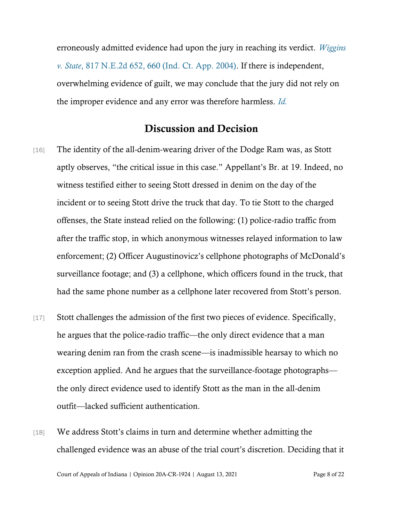erroneously admitted evidence had upon the jury in reaching its verdict. *[Wiggins](https://www.westlaw.com/Document/I35e44333d45911d9bf60c1d57ebc853e/View/FullText.html?transitionType=Default&contextData=(sc.Default)&VR=3.0&RS=da3.0&fragmentIdentifier=co_pp_sp_578_660)  [v. State](https://www.westlaw.com/Document/I35e44333d45911d9bf60c1d57ebc853e/View/FullText.html?transitionType=Default&contextData=(sc.Default)&VR=3.0&RS=da3.0&fragmentIdentifier=co_pp_sp_578_660)*[, 817 N.E.2d 652, 660 \(Ind. Ct. App. 2004\).](https://www.westlaw.com/Document/I35e44333d45911d9bf60c1d57ebc853e/View/FullText.html?transitionType=Default&contextData=(sc.Default)&VR=3.0&RS=da3.0&fragmentIdentifier=co_pp_sp_578_660) If there is independent, overwhelming evidence of guilt, we may conclude that the jury did not rely on the improper evidence and any error was therefore harmless. *[Id.](https://www.westlaw.com/Document/I35e44333d45911d9bf60c1d57ebc853e/View/FullText.html?transitionType=Default&contextData=(sc.Default)&VR=3.0&RS=da3.0)*

## Discussion and Decision

- [16] The identity of the all-denim-wearing driver of the Dodge Ram was, as Stott aptly observes, "the critical issue in this case." Appellant's Br. at 19. Indeed, no witness testified either to seeing Stott dressed in denim on the day of the incident or to seeing Stott drive the truck that day. To tie Stott to the charged offenses, the State instead relied on the following: (1) police-radio traffic from after the traffic stop, in which anonymous witnesses relayed information to law enforcement; (2) Officer Augustinovicz's cellphone photographs of McDonald's surveillance footage; and (3) a cellphone, which officers found in the truck, that had the same phone number as a cellphone later recovered from Stott's person.
- [17] Stott challenges the admission of the first two pieces of evidence. Specifically, he argues that the police-radio traffic—the only direct evidence that a man wearing denim ran from the crash scene—is inadmissible hearsay to which no exception applied. And he argues that the surveillance-footage photographs the only direct evidence used to identify Stott as the man in the all-denim outfit—lacked sufficient authentication.
- [18] We address Stott's claims in turn and determine whether admitting the challenged evidence was an abuse of the trial court's discretion. Deciding that it

Court of Appeals of Indiana | Opinion 20A-CR-1924 | August 13, 2021 Page 8 of 22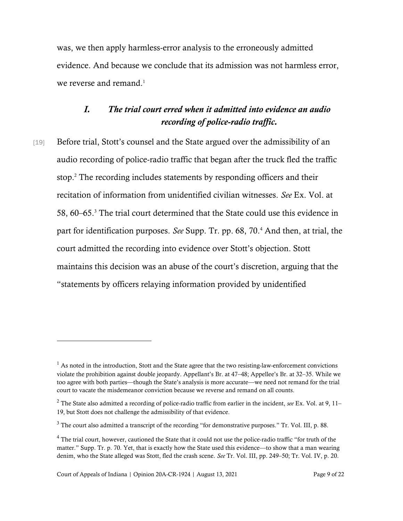was, we then apply harmless-error analysis to the erroneously admitted evidence. And because we conclude that its admission was not harmless error, we reverse and remand. $<sup>1</sup>$ </sup>

# *I. The trial court erred when it admitted into evidence an audio recording of police-radio traffic.*

[19] Before trial, Stott's counsel and the State argued over the admissibility of an audio recording of police-radio traffic that began after the truck fled the traffic stop.<sup>2</sup> The recording includes statements by responding officers and their recitation of information from unidentified civilian witnesses. *See* Ex. Vol. at 58, 60–65.<sup>3</sup> The trial court determined that the State could use this evidence in part for identification purposes. *See* Supp. Tr. pp. 68, 70.<sup>4</sup> And then, at trial, the court admitted the recording into evidence over Stott's objection. Stott maintains this decision was an abuse of the court's discretion, arguing that the "statements by officers relaying information provided by unidentified

 $<sup>1</sup>$  As noted in the introduction, Stott and the State agree that the two resisting-law-enforcement convictions</sup> violate the prohibition against double jeopardy. Appellant's Br. at 47–48; Appellee's Br. at 32–35. While we too agree with both parties—though the State's analysis is more accurate—we need not remand for the trial court to vacate the misdemeanor conviction because we reverse and remand on all counts.

<sup>2</sup> The State also admitted a recording of police-radio traffic from earlier in the incident, *see* Ex. Vol. at 9, 11– 19, but Stott does not challenge the admissibility of that evidence.

<sup>&</sup>lt;sup>3</sup> The court also admitted a transcript of the recording "for demonstrative purposes." Tr. Vol. III, p. 88.

<sup>&</sup>lt;sup>4</sup> The trial court, however, cautioned the State that it could not use the police-radio traffic "for truth of the matter." Supp. Tr. p. 70. Yet, that is exactly how the State used this evidence—to show that a man wearing denim, who the State alleged was Stott, fled the crash scene. *See* Tr. Vol. III, pp. 249–50; Tr. Vol. IV, p. 20.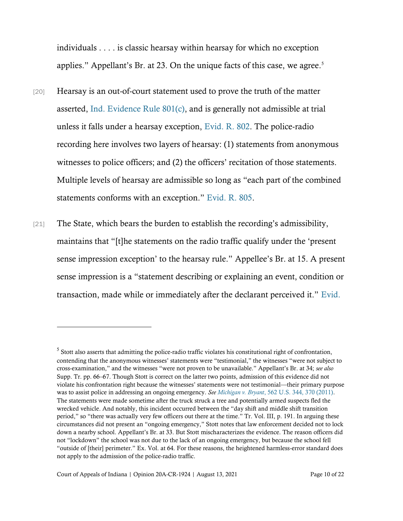individuals . . . . is classic hearsay within hearsay for which no exception applies." Appellant's Br. at 23. On the unique facts of this case, we agree.<sup>5</sup>

- [20] Hearsay is an out-of-court statement used to prove the truth of the matter asserted, [Ind. Evidence Rule 801\(c\),](https://www.westlaw.com/Document/N91ACF550B6EC11DB8050D108B1AFD816/View/FullText.html?transitionType=Default&contextData=(sc.Default)&VR=3.0&RS=da3.0) and is generally not admissible at trial unless it falls under a hearsay exception, [Evid. R. 802.](https://www.westlaw.com/Document/N92C80240B6EC11DB8050D108B1AFD816/View/FullText.html?transitionType=Default&contextData=(sc.Default)&VR=3.0&RS=cblt1.0) The police-radio recording here involves two layers of hearsay: (1) statements from anonymous witnesses to police officers; and (2) the officers' recitation of those statements. Multiple levels of hearsay are admissible so long as "each part of the combined statements conforms with an exception." [Evid. R. 805.](https://www.westlaw.com/Document/N94EA6D10B6EC11DB8050D108B1AFD816/View/FullText.html?transitionType=Default&contextData=(sc.Default)&VR=3.0&RS=cblt1.0)
- [21] The State, which bears the burden to establish the recording's admissibility, maintains that "[t]he statements on the radio traffic qualify under the 'present sense impression exception' to the hearsay rule." Appellee's Br. at 15. A present sense impression is a "statement describing or explaining an event, condition or transaction, made while or immediately after the declarant perceived it." [Evid.](https://www.westlaw.com/Document/N937A3B40B6EC11DB8050D108B1AFD816/View/FullText.html?transitionType=Default&contextData=(sc.Default)&VR=3.0&RS=cblt1.0)

<sup>&</sup>lt;sup>5</sup> Stott also asserts that admitting the police-radio traffic violates his constitutional right of confrontation, contending that the anonymous witnesses' statements were "testimonial," the witnesses "were not subject to cross-examination," and the witnesses "were not proven to be unavailable." Appellant's Br. at 34; *see also* Supp. Tr. pp. 66–67. Though Stott is correct on the latter two points, admission of this evidence did not violate his confrontation right because the witnesses' statements were not testimonial—their primary purpose was to assist police in addressing an ongoing emergency. *Se[e Michigan v. Bryant](https://www.westlaw.com/Document/Ibbd1dd85432c11e0b5f5ba8fada67492/View/FullText.html?transitionType=Default&contextData=(sc.Default)&VR=3.0&RS=da3.0&fragmentIdentifier=co_pp_sp_780_370)*, 56[2 U.S. 344, 370 \(2011\).](https://www.westlaw.com/Document/Ibbd1dd85432c11e0b5f5ba8fada67492/View/FullText.html?transitionType=Default&contextData=(sc.Default)&VR=3.0&RS=da3.0&fragmentIdentifier=co_pp_sp_780_370) The statements were made sometime after the truck struck a tree and potentially armed suspects fled the wrecked vehicle. And notably, this incident occurred between the "day shift and middle shift transition period," so "there was actually very few officers out there at the time." Tr. Vol. III, p. 191. In arguing these circumstances did not present an "ongoing emergency," Stott notes that law enforcement decided not to lock down a nearby school. Appellant's Br. at 33. But Stott mischaracterizes the evidence. The reason officers did not "lockdown" the school was not due to the lack of an ongoing emergency, but because the school fell "outside of [their] perimeter." Ex. Vol. at 64. For these reasons, the heightened harmless-error standard does not apply to the admission of the police-radio traffic.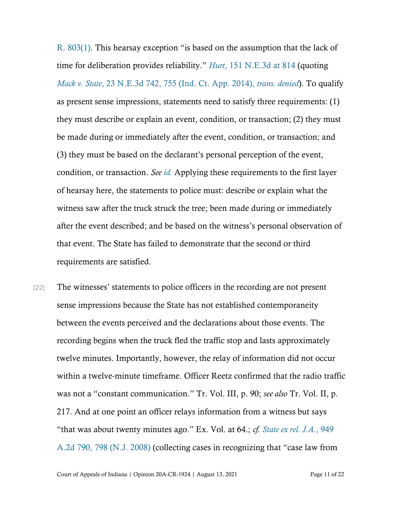[R. 803\(1\)](https://www.westlaw.com/Document/N937A3B40B6EC11DB8050D108B1AFD816/View/FullText.html?transitionType=Default&contextData=(sc.Default)&VR=3.0&RS=cblt1.0). This hearsay exception "is based on the assumption that the lack of time for deliberation provides reliability." *[Hurt](https://www.westlaw.com/Document/I3ee13460e3df11eaa378d6f7344849a6/View/FullText.html?transitionType=Default&contextData=(sc.Default)&VR=3.0&RS=da3.0&fragmentIdentifier=co_pp_sp_7902_814)*[, 151 N.E.3d at 814](https://www.westlaw.com/Document/I3ee13460e3df11eaa378d6f7344849a6/View/FullText.html?transitionType=Default&contextData=(sc.Default)&VR=3.0&RS=da3.0&fragmentIdentifier=co_pp_sp_7902_814) (quoting *Mack v. State*[, 23 N.E.3d 742, 755 \(Ind. Ct. App. 2014\),](https://www.westlaw.com/Document/I8b174e30876e11e4b86bd602cb8781fa/View/FullText.html?transitionType=Default&contextData=(sc.Default)&VR=3.0&RS=da3.0&fragmentIdentifier=co_pp_sp_7902_755) *trans. denied*). To qualify as present sense impressions, statements need to satisfy three requirements: (1) they must describe or explain an event, condition, or transaction; (2) they must be made during or immediately after the event, condition, or transaction; and (3) they must be based on the declarant's personal perception of the event, condition, or transaction. *See [id.](https://www.westlaw.com/Document/I8b174e30876e11e4b86bd602cb8781fa/View/FullText.html?transitionType=Default&contextData=(sc.Default)&VR=3.0&RS=da3.0)* Applying these requirements to the first layer of hearsay here, the statements to police must: describe or explain what the witness saw after the truck struck the tree; been made during or immediately after the event described; and be based on the witness's personal observation of that event. The State has failed to demonstrate that the second or third requirements are satisfied.

[22] The witnesses' statements to police officers in the recording are not present sense impressions because the State has not established contemporaneity between the events perceived and the declarations about those events. The recording begins when the truck fled the traffic stop and lasts approximately twelve minutes. Importantly, however, the relay of information did not occur within a twelve-minute timeframe. Officer Reetz confirmed that the radio traffic was not a "constant communication." Tr. Vol. III, p. 90; *see also* Tr. Vol. II, p. 217. And at one point an officer relays information from a witness but says "that was about twenty minutes ago." Ex. Vol. at 64.; *cf. [State ex rel. J.A.](https://www.westlaw.com/Document/Ib13a0c43413011ddb7e583ba170699a5/View/FullText.html?transitionType=Default&contextData=(sc.Default)&VR=3.0&RS=da3.0&fragmentIdentifier=co_pp_sp_162_798)*[, 949](https://www.westlaw.com/Document/Ib13a0c43413011ddb7e583ba170699a5/View/FullText.html?transitionType=Default&contextData=(sc.Default)&VR=3.0&RS=da3.0&fragmentIdentifier=co_pp_sp_162_798)  [A.2d 790, 798 \(N.J. 2008\)](https://www.westlaw.com/Document/Ib13a0c43413011ddb7e583ba170699a5/View/FullText.html?transitionType=Default&contextData=(sc.Default)&VR=3.0&RS=da3.0&fragmentIdentifier=co_pp_sp_162_798) (collecting cases in recognizing that "case law from

Court of Appeals of Indiana | Opinion 20A-CR-1924 | August 13, 2021 Page 11 of 22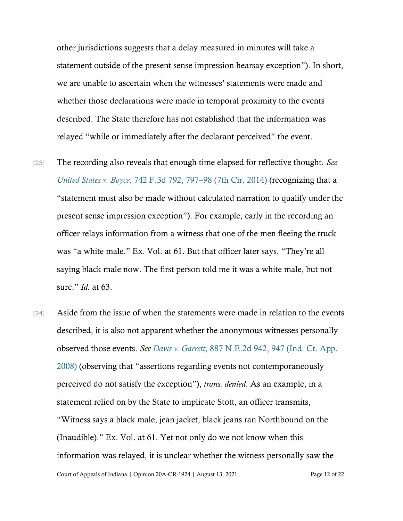other jurisdictions suggests that a delay measured in minutes will take a statement outside of the present sense impression hearsay exception"). In short, we are unable to ascertain when the witnesses' statements were made and whether those declarations were made in temporal proximity to the events described. The State therefore has not established that the information was relayed "while or immediately after the declarant perceived" the event.

- [23] The recording also reveals that enough time elapsed for reflective thought. *See [United States v. Boyce](https://www.westlaw.com/Document/I2ce0f02d94b411e38914df21cb42a557/View/FullText.html?transitionType=Default&contextData=(sc.Default)&VR=3.0&RS=da3.0&fragmentIdentifier=co_pp_sp_506_797)*, 742 F.3d 792, 797–[98 \(7th Cir. 2014\)](https://www.westlaw.com/Document/I2ce0f02d94b411e38914df21cb42a557/View/FullText.html?transitionType=Default&contextData=(sc.Default)&VR=3.0&RS=da3.0&fragmentIdentifier=co_pp_sp_506_797) (recognizing that a "statement must also be made without calculated narration to qualify under the present sense impression exception"). For example, early in the recording an officer relays information from a witness that one of the men fleeing the truck was "a white male." Ex. Vol. at 61. But that officer later says, "They're all saying black male now. The first person told me it was a white male, but not sure." *Id.* at 63.
- Court of Appeals of Indiana | Opinion 20A-CR-1924 | August 13, 2021 Page 12 of 22 [24] Aside from the issue of when the statements were made in relation to the events described, it is also not apparent whether the anonymous witnesses personally observed those events. *See Davis v. Garrett*[, 887 N.E.2d 942, 947 \(Ind. Ct. App.](https://www.westlaw.com/Document/I3e9f2aa018a211dd8dba9deb08599717/View/FullText.html?transitionType=Default&contextData=(sc.Default)&VR=3.0&RS=da3.0&fragmentIdentifier=co_pp_sp_578_947)  [2008\)](https://www.westlaw.com/Document/I3e9f2aa018a211dd8dba9deb08599717/View/FullText.html?transitionType=Default&contextData=(sc.Default)&VR=3.0&RS=da3.0&fragmentIdentifier=co_pp_sp_578_947) (observing that "assertions regarding events not contemporaneously perceived do not satisfy the exception"), *trans. denied*. As an example, in a statement relied on by the State to implicate Stott, an officer transmits, "Witness says a black male, jean jacket, black jeans ran Northbound on the (Inaudible)." Ex. Vol. at 61. Yet not only do we not know when this information was relayed, it is unclear whether the witness personally saw the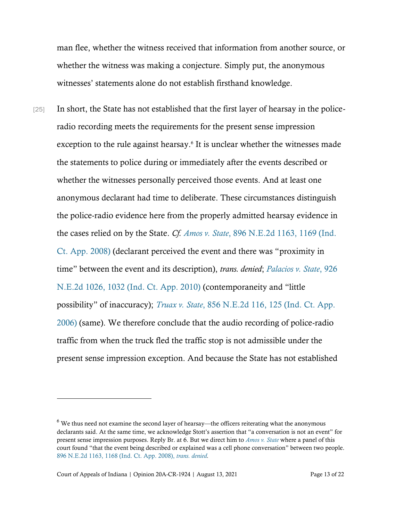man flee, whether the witness received that information from another source, or whether the witness was making a conjecture. Simply put, the anonymous witnesses' statements alone do not establish firsthand knowledge.

[25] In short, the State has not established that the first layer of hearsay in the policeradio recording meets the requirements for the present sense impression exception to the rule against hearsay.<sup>6</sup> It is unclear whether the witnesses made the statements to police during or immediately after the events described or whether the witnesses personally perceived those events. And at least one anonymous declarant had time to deliberate. These circumstances distinguish the police-radio evidence here from the properly admitted hearsay evidence in the cases relied on by the State. *Cf. Amos v. State*[, 896 N.E.2d 1163, 1169 \(Ind.](https://www.westlaw.com/Document/Ib399f07bbada11ddb5cbad29a280d47c/View/FullText.html?transitionType=Default&contextData=(sc.Default)&VR=3.0&RS=da3.0&fragmentIdentifier=co_pp_sp_578_1169)  [Ct. App. 2008\)](https://www.westlaw.com/Document/Ib399f07bbada11ddb5cbad29a280d47c/View/FullText.html?transitionType=Default&contextData=(sc.Default)&VR=3.0&RS=da3.0&fragmentIdentifier=co_pp_sp_578_1169) (declarant perceived the event and there was "proximity in time" between the event and its description), *trans. denied*; *[Palacios v. State](https://www.westlaw.com/Document/Id271bdae0b2111df9988d233d23fe599/View/FullText.html?transitionType=Default&contextData=(sc.Default)&VR=3.0&RS=da3.0&fragmentIdentifier=co_pp_sp_578_1032)*[, 926](https://www.westlaw.com/Document/Id271bdae0b2111df9988d233d23fe599/View/FullText.html?transitionType=Default&contextData=(sc.Default)&VR=3.0&RS=da3.0&fragmentIdentifier=co_pp_sp_578_1032)  [N.E.2d 1026, 1032 \(Ind. Ct. App. 2010\)](https://www.westlaw.com/Document/Id271bdae0b2111df9988d233d23fe599/View/FullText.html?transitionType=Default&contextData=(sc.Default)&VR=3.0&RS=da3.0&fragmentIdentifier=co_pp_sp_578_1032) (contemporaneity and "little possibility" of inaccuracy); *Truax v. State*[, 856 N.E.2d 116, 125 \(Ind. Ct. App.](https://www.westlaw.com/Document/I64eac8946cf411dbb38df5bc58c34d92/View/FullText.html?transitionType=Default&contextData=(sc.Default)&VR=3.0&RS=da3.0&fragmentIdentifier=co_pp_sp_578_125)  [2006\)](https://www.westlaw.com/Document/I64eac8946cf411dbb38df5bc58c34d92/View/FullText.html?transitionType=Default&contextData=(sc.Default)&VR=3.0&RS=da3.0&fragmentIdentifier=co_pp_sp_578_125) (same). We therefore conclude that the audio recording of police-radio traffic from when the truck fled the traffic stop is not admissible under the present sense impression exception. And because the State has not established

<sup>6</sup> We thus need not examine the second layer of hearsay—the officers reiterating what the anonymous declarants said. At the same time, we acknowledge Stott's assertion that "a conversation is not an event" for present sense impression purposes. Reply Br. at 6. But we direct him to *[Amos v. State](https://www.westlaw.com/Document/Ib399f07bbada11ddb5cbad29a280d47c/View/FullText.html?transitionType=Default&contextData=(sc.Default)&VR=3.0&RS=da3.0&fragmentIdentifier=co_pp_sp_578_1168)* where a panel of this court found "that the event being described or explained was a cell phone conversation" between two people. [896 N.E.2d 1163, 1168 \(Ind. Ct. App. 2008\),](https://www.westlaw.com/Document/Ib399f07bbada11ddb5cbad29a280d47c/View/FullText.html?transitionType=Default&contextData=(sc.Default)&VR=3.0&RS=cblt1.0) *[trans. denied.](https://www.westlaw.com/Document/Ib399f07bbada11ddb5cbad29a280d47c/View/FullText.html?transitionType=Default&contextData=(sc.Default)&VR=3.0&RS=cblt1.0)*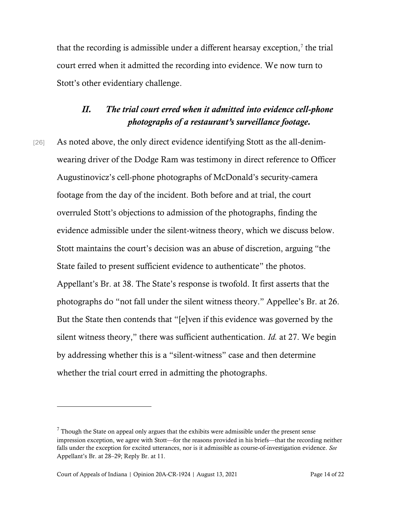that the recording is admissible under a different hearsay exception, $\imath$  the trial court erred when it admitted the recording into evidence. We now turn to Stott's other evidentiary challenge.

### *II. The trial court erred when it admitted into evidence cell-phone photographs of a restaurant's surveillance footage.*

[26] As noted above, the only direct evidence identifying Stott as the all-denimwearing driver of the Dodge Ram was testimony in direct reference to Officer Augustinovicz's cell-phone photographs of McDonald's security-camera footage from the day of the incident. Both before and at trial, the court overruled Stott's objections to admission of the photographs, finding the evidence admissible under the silent-witness theory, which we discuss below. Stott maintains the court's decision was an abuse of discretion, arguing "the State failed to present sufficient evidence to authenticate" the photos. Appellant's Br. at 38. The State's response is twofold. It first asserts that the photographs do "not fall under the silent witness theory." Appellee's Br. at 26. But the State then contends that "[e]ven if this evidence was governed by the silent witness theory," there was sufficient authentication. *Id.* at 27. We begin by addressing whether this is a "silent-witness" case and then determine whether the trial court erred in admitting the photographs.

 $<sup>7</sup>$  Though the State on appeal only argues that the exhibits were admissible under the present sense</sup> impression exception, we agree with Stott—for the reasons provided in his briefs—that the recording neither falls under the exception for excited utterances, nor is it admissible as course-of-investigation evidence. *See* Appellant's Br. at 28–29; Reply Br. at 11.

Court of Appeals of Indiana | Opinion 20A-CR-1924 | August 13, 2021 Page 14 of 22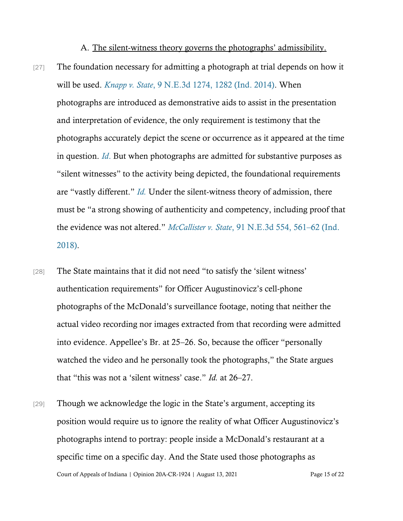A. The silent-witness theory governs the photographs' admissibility.

- [27] The foundation necessary for admitting a photograph at trial depends on how it will be used. *[Knapp v. State](https://www.westlaw.com/Document/Id39587a5f2c811e390d4edf60ce7d742/View/FullText.html?transitionType=Default&contextData=(sc.Default)&VR=3.0&RS=da3.0&fragmentIdentifier=co_pp_sp_7902_1282)*[, 9 N.E.3d 1274, 1282 \(Ind. 2014\).](https://www.westlaw.com/Document/Id39587a5f2c811e390d4edf60ce7d742/View/FullText.html?transitionType=Default&contextData=(sc.Default)&VR=3.0&RS=da3.0&fragmentIdentifier=co_pp_sp_7902_1282) When photographs are introduced as demonstrative aids to assist in the presentation and interpretation of evidence, the only requirement is testimony that the photographs accurately depict the scene or occurrence as it appeared at the time in question. *[Id](https://www.westlaw.com/Document/Id39587a5f2c811e390d4edf60ce7d742/View/FullText.html?transitionType=Default&contextData=(sc.Default)&VR=3.0&RS=da3.0)*[.](https://www.westlaw.com/Document/Id39587a5f2c811e390d4edf60ce7d742/View/FullText.html?transitionType=Default&contextData=(sc.Default)&VR=3.0&RS=da3.0) But when photographs are admitted for substantive purposes as "silent witnesses" to the activity being depicted, the foundational requirements are "vastly different." *[Id.](https://www.westlaw.com/Document/Id39587a5f2c811e390d4edf60ce7d742/View/FullText.html?transitionType=Default&contextData=(sc.Default)&VR=3.0&RS=da3.0)* Under the silent-witness theory of admission, there must be "a strong showing of authenticity and competency, including proof that the evidence was not altered." *McCallister v. State*[, 91 N.E.3d 554, 561](https://www.westlaw.com/Document/I2d301c5012ad11e8b0f5f1ddd5677a94/View/FullText.html?transitionType=Default&contextData=(sc.Default)&VR=3.0&RS=da3.0&fragmentIdentifier=co_pp_sp_7902_561)–[62 \(Ind.](https://www.westlaw.com/Document/I2d301c5012ad11e8b0f5f1ddd5677a94/View/FullText.html?transitionType=Default&contextData=(sc.Default)&VR=3.0&RS=da3.0&fragmentIdentifier=co_pp_sp_7902_561)  [2018\).](https://www.westlaw.com/Document/I2d301c5012ad11e8b0f5f1ddd5677a94/View/FullText.html?transitionType=Default&contextData=(sc.Default)&VR=3.0&RS=da3.0&fragmentIdentifier=co_pp_sp_7902_561)
- [28] The State maintains that it did not need "to satisfy the 'silent witness' authentication requirements" for Officer Augustinovicz's cell-phone photographs of the McDonald's surveillance footage, noting that neither the actual video recording nor images extracted from that recording were admitted into evidence. Appellee's Br. at 25–26. So, because the officer "personally watched the video and he personally took the photographs," the State argues that "this was not a 'silent witness' case." *Id.* at 26–27.
- Court of Appeals of Indiana | Opinion 20A-CR-1924 | August 13, 2021 Page 15 of 22 [29] Though we acknowledge the logic in the State's argument, accepting its position would require us to ignore the reality of what Officer Augustinovicz's photographs intend to portray: people inside a McDonald's restaurant at a specific time on a specific day. And the State used those photographs as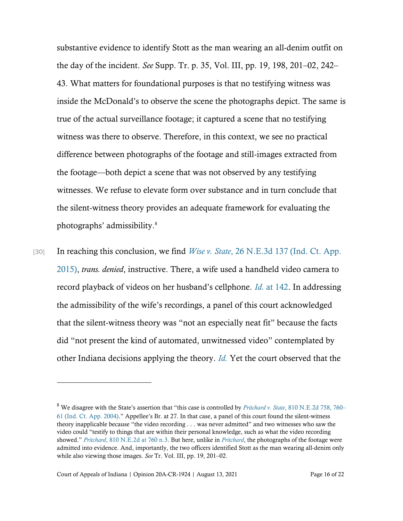substantive evidence to identify Stott as the man wearing an all-denim outfit on the day of the incident. *See* Supp. Tr. p. 35, Vol. III, pp. 19, 198, 201–02, 242– 43. What matters for foundational purposes is that no testifying witness was inside the McDonald's to observe the scene the photographs depict. The same is true of the actual surveillance footage; it captured a scene that no testifying witness was there to observe. Therefore, in this context, we see no practical difference between photographs of the footage and still-images extracted from the footage—both depict a scene that was not observed by any testifying witnesses. We refuse to elevate form over substance and in turn conclude that the silent-witness theory provides an adequate framework for evaluating the photographs' admissibility.<sup>8</sup>

[30] In reaching this conclusion, we find *Wise v. State*, 26 N.E.3d 137 (Ind. Ct. App.) [2015\),](https://www.westlaw.com/Document/Ia3751d48b5d511e490d4edf60ce7d742/View/FullText.html?transitionType=Default&contextData=(sc.Default)&VR=3.0&RS=da3.0) *trans. denied*, instructive. There, a wife used a handheld video camera to record playback of videos on her husband's cellphone. *[Id.](https://www.westlaw.com/Document/Ia3751d48b5d511e490d4edf60ce7d742/View/FullText.html?transitionType=Default&contextData=(sc.Default)&VR=3.0&RS=da3.0&fragmentIdentifier=co_pp_sp_7902_142)* [at 142.](https://www.westlaw.com/Document/Ia3751d48b5d511e490d4edf60ce7d742/View/FullText.html?transitionType=Default&contextData=(sc.Default)&VR=3.0&RS=da3.0&fragmentIdentifier=co_pp_sp_7902_142) In addressing the admissibility of the wife's recordings, a panel of this court acknowledged that the silent-witness theory was "not an especially neat fit" because the facts did "not present the kind of automated, unwitnessed video" contemplated by other Indiana decisions applying the theory. *[Id.](https://www.westlaw.com/Document/Ia3751d48b5d511e490d4edf60ce7d742/View/FullText.html?transitionType=Default&contextData=(sc.Default)&VR=3.0&RS=da3.0)* Yet the court observed that the

<sup>8</sup> We disagree with the State's assertion that "this case is controlled by *Pritchard v. State*[, 810 N.E.2d 758, 760](https://www.westlaw.com/Document/I63675cc2d45411d98ac8f235252e36df/View/FullText.html?transitionType=Default&contextData=(sc.Default)&VR=3.0&RS=da3.0&fragmentIdentifier=co_pp_sp_578_760)[–](https://www.westlaw.com/Document/I63675cc2d45411d98ac8f235252e36df/View/FullText.html?transitionType=Default&contextData=(sc.Default)&VR=3.0&RS=da3.0&fragmentIdentifier=co_pp_sp_578_760) [61 \(Ind. Ct. App. 2004\).](https://www.westlaw.com/Document/I63675cc2d45411d98ac8f235252e36df/View/FullText.html?transitionType=Default&contextData=(sc.Default)&VR=3.0&RS=da3.0&fragmentIdentifier=co_pp_sp_578_760)" Appellee's Br. at 27. In that case, a panel of this court found the silent-witness theory inapplicable because "the video recording . . . was never admitted" and two witnesses who saw the video could "testify to things that are within their personal knowledge, such as what the video recording showed." *[Pritchard](https://www.westlaw.com/Document/I63675cc2d45411d98ac8f235252e36df/View/FullText.html?transitionType=Default&contextData=(sc.Default)&VR=3.0&RS=cblt1.0)*[, 810 N.E.2d at 760 n.3.](https://www.westlaw.com/Document/I63675cc2d45411d98ac8f235252e36df/View/FullText.html?transitionType=Default&contextData=(sc.Default)&VR=3.0&RS=cblt1.0) But here, unlike in *[Pritchard](https://www.westlaw.com/Document/I63675cc2d45411d98ac8f235252e36df/View/FullText.html?transitionType=Default&contextData=(sc.Default)&VR=3.0&RS=da3.0)*, the photographs of the footage were admitted into evidence. And, importantly, the two officers identified Stott as the man wearing all-denim only while also viewing those images. *See* Tr. Vol. III, pp. 19, 201–02.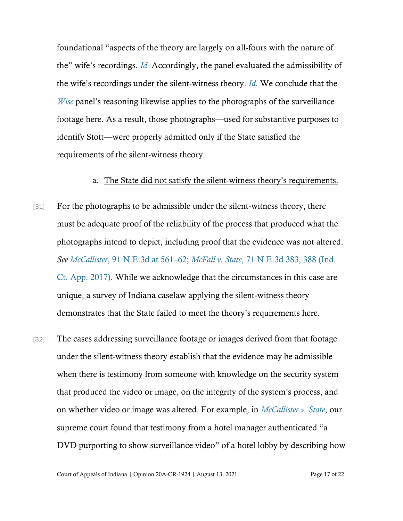foundational "aspects of the theory are largely on all-fours with the nature of the" wife's recordings. *[Id.](https://www.westlaw.com/Document/Ia3751d48b5d511e490d4edf60ce7d742/View/FullText.html?transitionType=Default&contextData=(sc.Default)&VR=3.0&RS=da3.0)* Accordingly, the panel evaluated the admissibility of the wife's recordings under the silent-witness theory. *[Id.](https://www.westlaw.com/Document/Ia3751d48b5d511e490d4edf60ce7d742/View/FullText.html?transitionType=Default&contextData=(sc.Default)&VR=3.0&RS=da3.0)* We conclude that the *[Wise](https://www.westlaw.com/Document/Ia3751d48b5d511e490d4edf60ce7d742/View/FullText.html?transitionType=Default&contextData=(sc.Default)&VR=3.0&RS=cblt1.0)* panel's reasoning likewise applies to the photographs of the surveillance footage here. As a result, those photographs—used for substantive purposes to identify Stott—were properly admitted only if the State satisfied the requirements of the silent-witness theory.

#### a. The State did not satisfy the silent-witness theory's requirements.

- [31] For the photographs to be admissible under the silent-witness theory, there must be adequate proof of the reliability of the process that produced what the photographs intend to depict, including proof that the evidence was not altered. *See McCallister*[, 91 N.E.3d at 561](https://www.westlaw.com/Document/I2d301c5012ad11e8b0f5f1ddd5677a94/View/FullText.html?transitionType=Default&contextData=(sc.Default)&VR=3.0&RS=da3.0&fragmentIdentifier=co_pp_sp_7902_561)–[62;](https://www.westlaw.com/Document/I2d301c5012ad11e8b0f5f1ddd5677a94/View/FullText.html?transitionType=Default&contextData=(sc.Default)&VR=3.0&RS=da3.0&fragmentIdentifier=co_pp_sp_7902_561) *McFall v. State*[, 71 N.E.3d 383, 388 \(Ind.](https://www.westlaw.com/Document/I06c4a6e0f98011e6b28da5a53aeba485/View/FullText.html?transitionType=Default&contextData=(sc.Default)&VR=3.0&RS=da3.0&fragmentIdentifier=co_pp_sp_7902_388)  [Ct. App. 2017\).](https://www.westlaw.com/Document/I06c4a6e0f98011e6b28da5a53aeba485/View/FullText.html?transitionType=Default&contextData=(sc.Default)&VR=3.0&RS=da3.0&fragmentIdentifier=co_pp_sp_7902_388) While we acknowledge that the circumstances in this case are unique, a survey of Indiana caselaw applying the silent-witness theory demonstrates that the State failed to meet the theory's requirements here.
- [32] The cases addressing surveillance footage or images derived from that footage under the silent-witness theory establish that the evidence may be admissible when there is testimony from someone with knowledge on the security system that produced the video or image, on the integrity of the system's process, and on whether video or image was altered. For example, in *[McCallister v. State](https://www.westlaw.com/Document/I2d301c5012ad11e8b0f5f1ddd5677a94/View/FullText.html?transitionType=Default&contextData=(sc.Default)&VR=3.0&RS=da3.0)*, our supreme court found that testimony from a hotel manager authenticated "a DVD purporting to show surveillance video" of a hotel lobby by describing how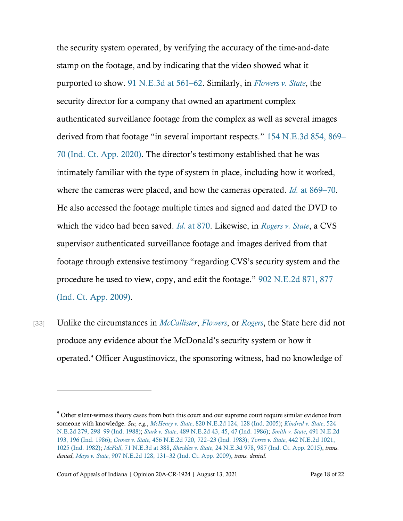the security system operated, by verifying the accuracy of the time-and-date stamp on the footage, and by indicating that the video showed what it purported to show. [91 N.E.3d at 561](https://www.westlaw.com/Document/I2d301c5012ad11e8b0f5f1ddd5677a94/View/FullText.html?transitionType=Default&contextData=(sc.Default)&VR=3.0&RS=da3.0&fragmentIdentifier=co_pp_sp_7902_561)–62. Similarly, in *[Flowers v. State](https://www.westlaw.com/Document/I59888c00fdcf11ea90aaf658db4bc3dc/View/FullText.html?transitionType=Default&contextData=(sc.Default)&VR=3.0&RS=da3.0)*, the security director for a company that owned an apartment complex authenticated surveillance footage from the complex as well as several images derived from that footage "in several important respects." [154 N.E.3d 854, 869](https://www.westlaw.com/Document/I59888c00fdcf11ea90aaf658db4bc3dc/View/FullText.html?transitionType=Default&contextData=(sc.Default)&VR=3.0&RS=da3.0&fragmentIdentifier=co_pp_sp_7902_869)– [70 \(Ind. Ct. App. 2020\)](https://www.westlaw.com/Document/I59888c00fdcf11ea90aaf658db4bc3dc/View/FullText.html?transitionType=Default&contextData=(sc.Default)&VR=3.0&RS=da3.0&fragmentIdentifier=co_pp_sp_7902_869). The director's testimony established that he was intimately familiar with the type of system in place, including how it worked, where the cameras were placed, and how the cameras operated. *Id.* [at 869](https://www.westlaw.com/Document/I59888c00fdcf11ea90aaf658db4bc3dc/View/FullText.html?transitionType=Default&contextData=(sc.Default)&VR=3.0&RS=da3.0&fragmentIdentifier=co_pp_sp_7902_869)–[70.](https://www.westlaw.com/Document/I59888c00fdcf11ea90aaf658db4bc3dc/View/FullText.html?transitionType=Default&contextData=(sc.Default)&VR=3.0&RS=da3.0&fragmentIdentifier=co_pp_sp_7902_869) He also accessed the footage multiple times and signed and dated the DVD to which the video had been saved. *[Id.](https://www.westlaw.com/Document/I59888c00fdcf11ea90aaf658db4bc3dc/View/FullText.html?transitionType=Default&contextData=(sc.Default)&VR=3.0&RS=da3.0&fragmentIdentifier=co_pp_sp_7902_870)* [at 870.](https://www.westlaw.com/Document/I59888c00fdcf11ea90aaf658db4bc3dc/View/FullText.html?transitionType=Default&contextData=(sc.Default)&VR=3.0&RS=da3.0&fragmentIdentifier=co_pp_sp_7902_870) Likewise, in *[Rogers v. State](https://www.westlaw.com/Document/Ice1c2c2014c111deb7e683ba170699a5/View/FullText.html?transitionType=Default&contextData=(sc.Default)&VR=3.0&RS=da3.0)*, a CVS supervisor authenticated surveillance footage and images derived from that footage through extensive testimony "regarding CVS's security system and the procedure he used to view, copy, and edit the footage." [902 N.E.2d 871, 877](https://www.westlaw.com/Document/Ice1c2c2014c111deb7e683ba170699a5/View/FullText.html?transitionType=Default&contextData=(sc.Default)&VR=3.0&RS=da3.0&fragmentIdentifier=co_pp_sp_578_877)  [\(Ind. Ct. App. 2009\).](https://www.westlaw.com/Document/Ice1c2c2014c111deb7e683ba170699a5/View/FullText.html?transitionType=Default&contextData=(sc.Default)&VR=3.0&RS=da3.0&fragmentIdentifier=co_pp_sp_578_877)

[33] Unlike the circumstances in *[McCallister](https://www.westlaw.com/Document/I2d301c5012ad11e8b0f5f1ddd5677a94/View/FullText.html?transitionType=Default&contextData=(sc.Default)&VR=3.0&RS=da3.0)*, *[Flowers](https://www.westlaw.com/Document/I59888c00fdcf11ea90aaf658db4bc3dc/View/FullText.html?transitionType=Default&contextData=(sc.Default)&VR=3.0&RS=cblt1.0)*, or *[Rogers](https://www.westlaw.com/Document/Ice1c2c2014c111deb7e683ba170699a5/View/FullText.html?transitionType=Default&contextData=(sc.Default)&VR=3.0&RS=cblt1.0)*, the State here did not produce any evidence about the McDonald's security system or how it operated.<sup>9</sup> Officer Augustinovicz, the sponsoring witness, had no knowledge of

<sup>&</sup>lt;sup>9</sup> Other silent-witness theory cases from both this court and our supreme court require similar evidence from someone with knowledge. *See, e.g.*, *[McHenry v. State](https://www.westlaw.com/Document/Ieddec446d44d11d9a489ee624f1f6e1a/View/FullText.html?transitionType=Default&contextData=(sc.Default)&VR=3.0&RS=da3.0&fragmentIdentifier=co_pp_sp_578_128)*[, 820 N.E.2d 124, 128 \(Ind. 2005\);](https://www.westlaw.com/Document/Ieddec446d44d11d9a489ee624f1f6e1a/View/FullText.html?transitionType=Default&contextData=(sc.Default)&VR=3.0&RS=da3.0&fragmentIdentifier=co_pp_sp_578_128) *[Kindred v. State](https://www.westlaw.com/Document/I923a0841d38811d9a489ee624f1f6e1a/View/FullText.html?transitionType=Default&contextData=(sc.Default)&VR=3.0&RS=da3.0&fragmentIdentifier=co_pp_sp_578_298)*, [524](https://www.westlaw.com/Document/I923a0841d38811d9a489ee624f1f6e1a/View/FullText.html?transitionType=Default&contextData=(sc.Default)&VR=3.0&RS=da3.0&fragmentIdentifier=co_pp_sp_578_298)  [N.E.2d 279, 298](https://www.westlaw.com/Document/I923a0841d38811d9a489ee624f1f6e1a/View/FullText.html?transitionType=Default&contextData=(sc.Default)&VR=3.0&RS=da3.0&fragmentIdentifier=co_pp_sp_578_298)–99 (Ind. 1988); *[Stark v. State](https://www.westlaw.com/Document/I8d462683d38b11d9bf60c1d57ebc853e/View/FullText.html?transitionType=Default&contextData=(sc.Default)&VR=3.0&RS=da3.0&fragmentIdentifier=co_pp_sp_578_45%2c+47)*[, 489 N.E.2d 43, 45, 47 \(Ind. 1986\);](https://www.westlaw.com/Document/I8d462683d38b11d9bf60c1d57ebc853e/View/FullText.html?transitionType=Default&contextData=(sc.Default)&VR=3.0&RS=da3.0&fragmentIdentifier=co_pp_sp_578_45%2c+47) *Smith v. State*[, 491 N.E.2d](https://www.westlaw.com/Document/I53af3512d38611d983e7e9deff98dc6f/View/FullText.html?transitionType=Default&contextData=(sc.Default)&VR=3.0&RS=da3.0&fragmentIdentifier=co_pp_sp_578_196)  [193, 196 \(Ind. 1986\);](https://www.westlaw.com/Document/I53af3512d38611d983e7e9deff98dc6f/View/FullText.html?transitionType=Default&contextData=(sc.Default)&VR=3.0&RS=da3.0&fragmentIdentifier=co_pp_sp_578_196) *Groves v. State*[, 456 N.E.2d 720, 722](https://www.westlaw.com/Document/I68787505d34111d9bf60c1d57ebc853e/View/FullText.html?transitionType=Default&contextData=(sc.Default)&VR=3.0&RS=da3.0&fragmentIdentifier=co_pp_sp_578_722)–[23 \(Ind. 1983\);](https://www.westlaw.com/Document/I68787505d34111d9bf60c1d57ebc853e/View/FullText.html?transitionType=Default&contextData=(sc.Default)&VR=3.0&RS=da3.0&fragmentIdentifier=co_pp_sp_578_722) *Torres v. State*[, 442 N.E.2d 1021,](https://www.westlaw.com/Document/I5323053ad38711d98ac8f235252e36df/View/FullText.html?transitionType=Default&contextData=(sc.Default)&VR=3.0&RS=da3.0&fragmentIdentifier=co_pp_sp_578_1025)  [1025 \(Ind. 1982\);](https://www.westlaw.com/Document/I5323053ad38711d98ac8f235252e36df/View/FullText.html?transitionType=Default&contextData=(sc.Default)&VR=3.0&RS=da3.0&fragmentIdentifier=co_pp_sp_578_1025) *McFall*[, 71 N.E.3d at 388,](https://www.westlaw.com/Document/I06c4a6e0f98011e6b28da5a53aeba485/View/FullText.html?transitionType=Default&contextData=(sc.Default)&VR=3.0&RS=da3.0&fragmentIdentifier=co_pp_sp_7902_388) *Sheckles v. State*[, 24 N.E.3d 978, 987 \(Ind. Ct. App. 2015\),](https://www.westlaw.com/Document/I8224259798ca11e4b86bd602cb8781fa/View/FullText.html?transitionType=Default&contextData=(sc.Default)&VR=3.0&RS=da3.0&fragmentIdentifier=co_pp_sp_7902_987) *trans. denied*; *Mays v. State*[, 907 N.E.2d 128, 131](https://www.westlaw.com/Document/I854c46a84c4011deabded03f2b83b8a4/View/FullText.html?transitionType=Default&contextData=(sc.Default)&VR=3.0&RS=da3.0&fragmentIdentifier=co_pp_sp_578_131)–[32 \(Ind. Ct. App. 2009\),](https://www.westlaw.com/Document/I854c46a84c4011deabded03f2b83b8a4/View/FullText.html?transitionType=Default&contextData=(sc.Default)&VR=3.0&RS=da3.0&fragmentIdentifier=co_pp_sp_578_131) *trans. denied*.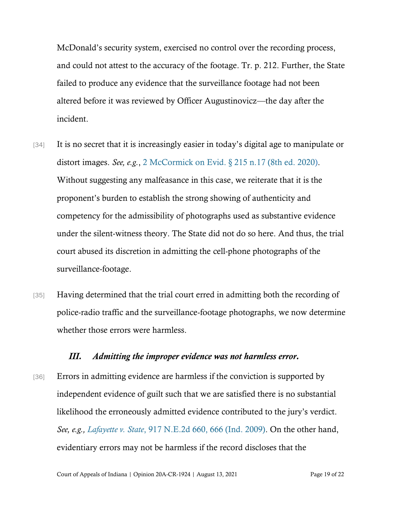McDonald's security system, exercised no control over the recording process, and could not attest to the accuracy of the footage. Tr. p. 212. Further, the State failed to produce any evidence that the surveillance footage had not been altered before it was reviewed by Officer Augustinovicz—the day after the incident.

- [34] It is no secret that it is increasingly easier in today's digital age to manipulate or distort images. *See, e.g.*, [2 McCormick on Evid. § 215 n.17 \(8th ed. 2020\)](https://www.westlaw.com/Document/Ib917bec9376411db9fd99a1105e1c76e/View/FullText.html?transitionType=Default&contextData=(sc.Default)&VR=3.0&RS=cblt1.0). Without suggesting any malfeasance in this case, we reiterate that it is the proponent's burden to establish the strong showing of authenticity and competency for the admissibility of photographs used as substantive evidence under the silent-witness theory. The State did not do so here. And thus, the trial court abused its discretion in admitting the cell-phone photographs of the surveillance-footage.
- [35] Having determined that the trial court erred in admitting both the recording of police-radio traffic and the surveillance-footage photographs, we now determine whether those errors were harmless.

#### *III. Admitting the improper evidence was not harmless error.*

[36] Errors in admitting evidence are harmless if the conviction is supported by independent evidence of guilt such that we are satisfied there is no substantial likelihood the erroneously admitted evidence contributed to the jury's verdict. *See, e.g., [Lafayette v. State](https://www.westlaw.com/Document/Iffefb8d8e4a911dea82ab9f4ee295c21/View/FullText.html?transitionType=Default&contextData=(sc.Default)&VR=3.0&RS=da3.0&fragmentIdentifier=co_pp_sp_578_666)*[, 917 N.E.2d 660, 666 \(Ind. 2009\).](https://www.westlaw.com/Document/Iffefb8d8e4a911dea82ab9f4ee295c21/View/FullText.html?transitionType=Default&contextData=(sc.Default)&VR=3.0&RS=da3.0&fragmentIdentifier=co_pp_sp_578_666) On the other hand, evidentiary errors may not be harmless if the record discloses that the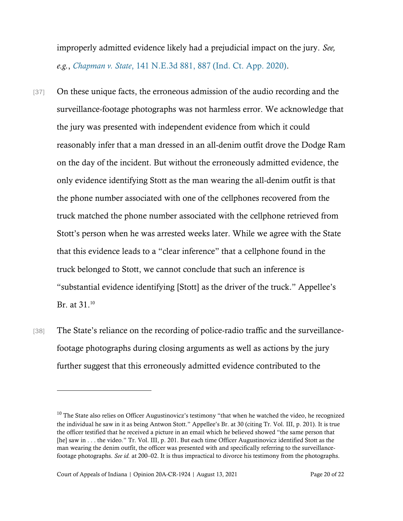improperly admitted evidence likely had a prejudicial impact on the jury. *See, e.g.*, *[Chapman v. State](https://www.westlaw.com/Document/Idca59c70446811ea836ad65bf0df97be/View/FullText.html?transitionType=Default&contextData=(sc.Default)&VR=3.0&RS=da3.0&fragmentIdentifier=co_pp_sp_7902_887)*[, 141 N.E.3d 881, 887 \(Ind. Ct. App. 2020\).](https://www.westlaw.com/Document/Idca59c70446811ea836ad65bf0df97be/View/FullText.html?transitionType=Default&contextData=(sc.Default)&VR=3.0&RS=da3.0&fragmentIdentifier=co_pp_sp_7902_887)

- [37] On these unique facts, the erroneous admission of the audio recording and the surveillance-footage photographs was not harmless error. We acknowledge that the jury was presented with independent evidence from which it could reasonably infer that a man dressed in an all-denim outfit drove the Dodge Ram on the day of the incident. But without the erroneously admitted evidence, the only evidence identifying Stott as the man wearing the all-denim outfit is that the phone number associated with one of the cellphones recovered from the truck matched the phone number associated with the cellphone retrieved from Stott's person when he was arrested weeks later. While we agree with the State that this evidence leads to a "clear inference" that a cellphone found in the truck belonged to Stott, we cannot conclude that such an inference is "substantial evidence identifying [Stott] as the driver of the truck." Appellee's Br. at 31.<sup>10</sup>
- [38] The State's reliance on the recording of police-radio traffic and the surveillancefootage photographs during closing arguments as well as actions by the jury further suggest that this erroneously admitted evidence contributed to the

<sup>&</sup>lt;sup>10</sup> The State also relies on Officer Augustinovicz's testimony "that when he watched the video, he recognized the individual he saw in it as being Antwon Stott." Appellee's Br. at 30 (citing Tr. Vol. III, p. 201). It is true the officer testified that he received a picture in an email which he believed showed "the same person that [he] saw in . . . the video." Tr. Vol. III, p. 201. But each time Officer Augustinovicz identified Stott as the man wearing the denim outfit, the officer was presented with and specifically referring to the surveillancefootage photographs. *See id.* at 200–02. It is thus impractical to divorce his testimony from the photographs.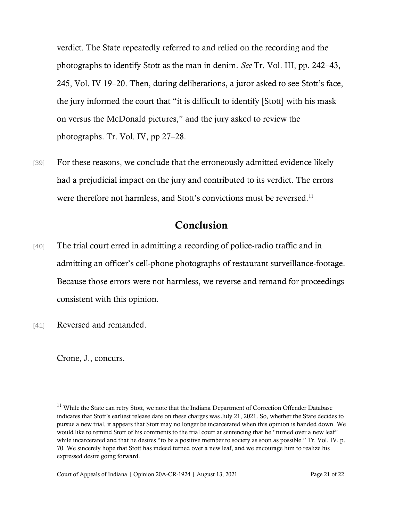verdict. The State repeatedly referred to and relied on the recording and the photographs to identify Stott as the man in denim. *See* Tr. Vol. III, pp. 242–43, 245, Vol. IV 19–20. Then, during deliberations, a juror asked to see Stott's face, the jury informed the court that "it is difficult to identify [Stott] with his mask on versus the McDonald pictures," and the jury asked to review the photographs. Tr. Vol. IV, pp 27–28.

[39] For these reasons, we conclude that the erroneously admitted evidence likely had a prejudicial impact on the jury and contributed to its verdict. The errors were therefore not harmless, and Stott's convictions must be reversed.<sup>11</sup>

## Conclusion

- [40] The trial court erred in admitting a recording of police-radio traffic and in admitting an officer's cell-phone photographs of restaurant surveillance-footage. Because those errors were not harmless, we reverse and remand for proceedings consistent with this opinion.
- [41] Reversed and remanded.

Crone, J., concurs.

<sup>&</sup>lt;sup>11</sup> While the State can retry Stott, we note that the Indiana Department of Correction Offender Database indicates that Stott's earliest release date on these charges was July 21, 2021. So, whether the State decides to pursue a new trial, it appears that Stott may no longer be incarcerated when this opinion is handed down. We would like to remind Stott of his comments to the trial court at sentencing that he "turned over a new leaf" while incarcerated and that he desires "to be a positive member to society as soon as possible." Tr. Vol. IV, p. 70. We sincerely hope that Stott has indeed turned over a new leaf, and we encourage him to realize his expressed desire going forward.